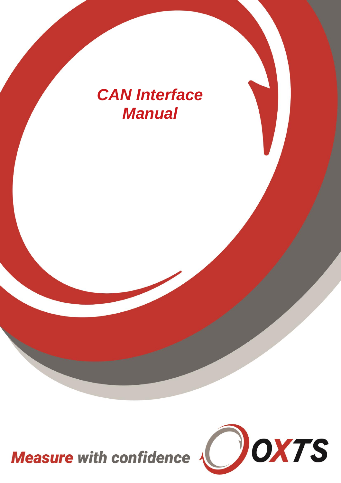# *CAN Interface Manual*

Measure with confidence

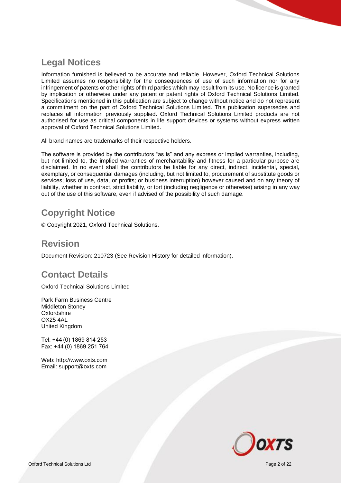### <span id="page-1-0"></span>**Legal Notices**

Information furnished is believed to be accurate and reliable. However, Oxford Technical Solutions Limited assumes no responsibility for the consequences of use of such information nor for any infringement of patents or other rights of third parties which may result from its use. No licence is granted by implication or otherwise under any patent or patent rights of Oxford Technical Solutions Limited. Specifications mentioned in this publication are subject to change without notice and do not represent a commitment on the part of Oxford Technical Solutions Limited. This publication supersedes and replaces all information previously supplied. Oxford Technical Solutions Limited products are not authorised for use as critical components in life support devices or systems without express written approval of Oxford Technical Solutions Limited.

All brand names are trademarks of their respective holders.

The software is provided by the contributors "as is" and any express or implied warranties, including, but not limited to, the implied warranties of merchantability and fitness for a particular purpose are disclaimed. In no event shall the contributors be liable for any direct, indirect, incidental, special, exemplary, or consequential damages (including, but not limited to, procurement of substitute goods or services; loss of use, data, or profits; or business interruption) however caused and on any theory of liability, whether in contract, strict liability, or tort (including negligence or otherwise) arising in any way out of the use of this software, even if advised of the possibility of such damage.

### <span id="page-1-1"></span>**Copyright Notice**

© Copyright 2021, Oxford Technical Solutions.

#### <span id="page-1-2"></span>**Revision**

Document Revision: 210723 (See Revision History for detailed information).

### <span id="page-1-3"></span>**Contact Details**

Oxford Technical Solutions Limited

Park Farm Business Centre Middleton Stoney **Oxfordshire** OX25 4AL United Kingdom

Tel: +44 (0) 1869 814 253 Fax: +44 (0) 1869 251 764

Web: http://www.oxts.com Email: support@oxts.com

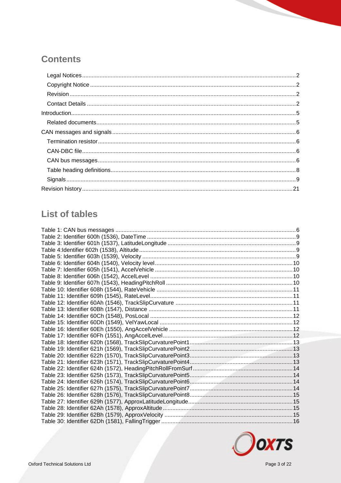### **Contents**

## **List of tables**

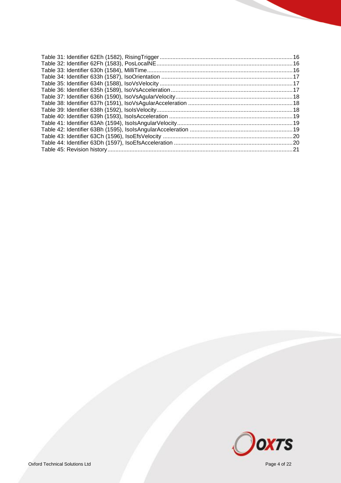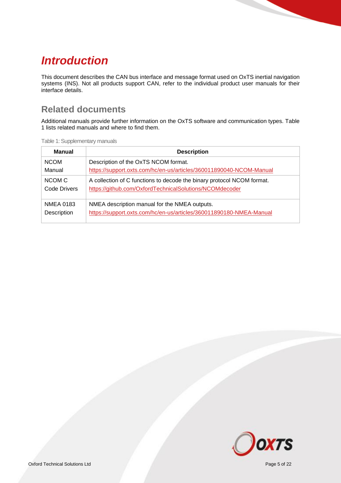## <span id="page-4-0"></span>*Introduction*

This document describes the CAN bus interface and message format used on OxTS inertial navigation systems (INS). Not all products support CAN, refer to the individual product user manuals for their interface details.

#### <span id="page-4-1"></span>**Related documents**

Additional manuals provide further information on the OxTS software and communication types. Table 1 lists related manuals and where to find them.

| Table 1: Supplementary manuals |  |
|--------------------------------|--|
|--------------------------------|--|

| Manual                          | <b>Description</b>                                                                                                                |
|---------------------------------|-----------------------------------------------------------------------------------------------------------------------------------|
| <b>NCOM</b>                     | Description of the OxTS NCOM format.                                                                                              |
| Manual                          | https://support.oxts.com/hc/en-us/articles/360011890040-NCOM-Manual                                                               |
| NCOM C<br>Code Drivers          | A collection of C functions to decode the binary protocol NCOM format.<br>https://github.com/OxfordTechnicalSolutions/NCOMdecoder |
| <b>NMEA 0183</b><br>Description | NMEA description manual for the NMEA outputs.<br>https://support.oxts.com/hc/en-us/articles/360011890180-NMEA-Manual              |

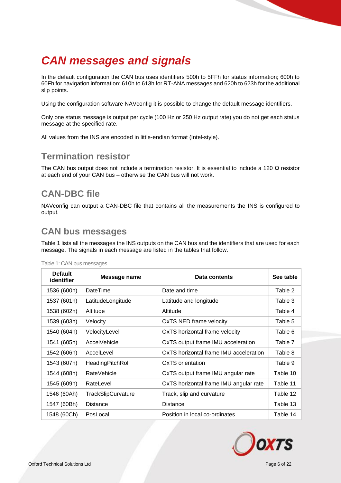## <span id="page-5-0"></span>*CAN messages and signals*

In the default configuration the CAN bus uses identifiers 500h to 5FFh for status information; 600h to 60Fh for navigation information; 610h to 613h for RT-ANA messages and 620h to 623h for the additional slip points.

Using the configuration software NAVconfig it is possible to change the default message identifiers.

Only one status message is output per cycle (100 Hz or 250 Hz output rate) you do not get each status message at the specified rate.

All values from the INS are encoded in little-endian format (Intel-style).

#### <span id="page-5-1"></span>**Termination resistor**

The CAN bus output does not include a termination resistor. It is essential to include a 120  $\Omega$  resistor at each end of your CAN bus – otherwise the CAN bus will not work.

#### <span id="page-5-2"></span>**CAN-DBC file**

NAVconfig can output a CAN-DBC file that contains all the measurements the INS is configured to output.

#### <span id="page-5-3"></span>**CAN bus messages**

[Table 1](#page-5-4) lists all the messages the INS outputs on the CAN bus and the identifiers that are used for each message. The signals in each message are listed in the tables that follow.

| <b>Default</b><br>identifier | Message name       | Data contents                          |          |  |  |  |  |
|------------------------------|--------------------|----------------------------------------|----------|--|--|--|--|
| 1536 (600h)                  | <b>DateTime</b>    | Date and time                          | Table 2  |  |  |  |  |
| 1537 (601h)                  | LatitudeLongitude  | Latitude and longitude                 | Table 3  |  |  |  |  |
| 1538 (602h)                  | Altitude           | Altitude                               | Table 4  |  |  |  |  |
| 1539 (603h)                  | Velocity           | OxTS NED frame velocity                | Table 5  |  |  |  |  |
| 1540 (604h)                  | VelocityLevel      | OxTS horizontal frame velocity         | Table 6  |  |  |  |  |
| 1541 (605h)                  | AccelVehicle       | OxTS output frame IMU acceleration     | Table 7  |  |  |  |  |
| 1542 (606h)                  | AccelLevel         | OxTS horizontal frame IMU acceleration | Table 8  |  |  |  |  |
| 1543 (607h)                  | HeadingPitchRoll   | OxTS orientation                       | Table 9  |  |  |  |  |
| 1544 (608h)                  | <b>RateVehicle</b> | OxTS output frame IMU angular rate     | Table 10 |  |  |  |  |
| 1545 (609h)                  | RateLevel          | OxTS horizontal frame IMU angular rate | Table 11 |  |  |  |  |
| 1546 (60Ah)                  | TrackSlipCurvature | Track, slip and curvature              | Table 12 |  |  |  |  |
| 1547 (60Bh)                  | <b>Distance</b>    | <b>Distance</b>                        | Table 13 |  |  |  |  |
| 1548 (60Ch)                  | PosLocal           | Position in local co-ordinates         | Table 14 |  |  |  |  |

<span id="page-5-4"></span>Table 1: CAN bus messages

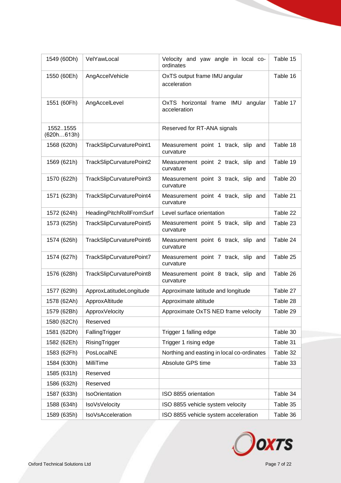| 1549 (60Dh)            | VelYawLocal              | Velocity and yaw angle in local co-<br>ordinates     | Table 15 |
|------------------------|--------------------------|------------------------------------------------------|----------|
| 1550 (60Eh)            | AngAccelVehicle          | OxTS output frame IMU angular<br>acceleration        | Table 16 |
| 1551 (60Fh)            | AngAccelLevel            | OxTS horizontal frame IMU<br>angular<br>acceleration | Table 17 |
| 15521555<br>(620h613h) |                          | Reserved for RT-ANA signals                          |          |
| 1568 (620h)            | TrackSlipCurvaturePoint1 | Measurement point 1 track, slip and<br>curvature     | Table 18 |
| 1569 (621h)            | TrackSlipCurvaturePoint2 | Measurement point 2 track, slip and<br>curvature     | Table 19 |
| 1570 (622h)            | TrackSlipCurvaturePoint3 | Measurement point 3 track, slip and<br>curvature     | Table 20 |
| 1571 (623h)            | TrackSlipCurvaturePoint4 | Measurement point 4 track, slip and<br>curvature     | Table 21 |
| 1572 (624h)            | HeadingPitchRollFromSurf | Level surface orientation                            | Table 22 |
| 1573 (625h)            | TrackSlipCurvaturePoint5 | Measurement point 5 track, slip and<br>curvature     | Table 23 |
| 1574 (626h)            | TrackSlipCurvaturePoint6 | Measurement point 6 track, slip and<br>curvature     | Table 24 |
| 1574 (627h)            | TrackSlipCurvaturePoint7 | Measurement point 7 track, slip and<br>curvature     | Table 25 |
| 1576 (628h)            | TrackSlipCurvaturePoint8 | Measurement point 8 track, slip and<br>curvature     | Table 26 |
| 1577 (629h)            | ApproxLatitudeLongitude  | Approximate latitude and longitude                   | Table 27 |
| 1578 (62Ah)            | ApproxAltitude           | Approximate altitude                                 | Table 28 |
| 1579 (62Bh)            | ApproxVelocity           | Approximate OxTS NED frame velocity                  | Table 29 |
| 1580 (62Ch)            | Reserved                 |                                                      |          |
| 1581 (62Dh)            | FallingTrigger           | Trigger 1 falling edge                               | Table 30 |
| 1582 (62Eh)            | RisingTrigger            | Trigger 1 rising edge                                | Table 31 |
| 1583 (62Fh)            | PosLocalNE               | Northing and easting in local co-ordinates           | Table 32 |
| 1584 (630h)            | MilliTime                | Absolute GPS time                                    | Table 33 |
| 1585 (631h)            | Reserved                 |                                                      |          |
| 1586 (632h)            | Reserved                 |                                                      |          |
| 1587 (633h)            | <b>IsoOrientation</b>    | ISO 8855 orientation                                 | Table 34 |
| 1588 (634h)            | <b>IsoVsVelocity</b>     | ISO 8855 vehicle system velocity                     | Table 35 |
| 1589 (635h)            | IsoVsAcceleration        | ISO 8855 vehicle system acceleration                 | Table 36 |

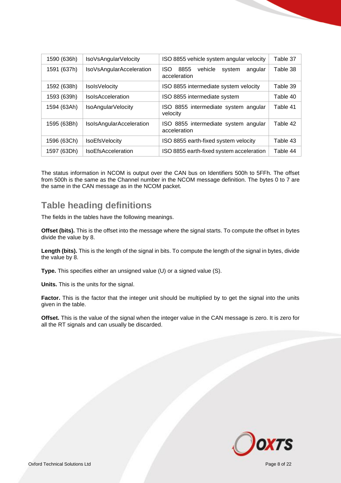| 1590 (636h) | IsoVsAngularVelocity      | ISO 8855 vehicle system angular velocity                           | Table 37 |
|-------------|---------------------------|--------------------------------------------------------------------|----------|
| 1591 (637h) | IsoVsAngularAcceleration  | <b>ISO</b><br>8855<br>vehicle<br>system<br>angular<br>acceleration | Table 38 |
| 1592 (638h) | <b>IsolsVelocity</b>      | ISO 8855 intermediate system velocity                              | Table 39 |
| 1593 (639h) | <b>IsolsAcceleration</b>  | ISO 8855 intermediate system                                       | Table 40 |
| 1594 (63Ah) | IsoAngularVelocity        | ISO 8855 intermediate system angular<br>velocity                   | Table 41 |
| 1595 (63Bh) | IsolsAngularAcceleration  | ISO 8855 intermediate system angular<br>acceleration               | Table 42 |
| 1596 (63Ch) | <b>IsoEfsVelocity</b>     | ISO 8855 earth-fixed system velocity                               | Table 43 |
| 1597 (63Dh) | <b>IsoEfsAcceleration</b> | ISO 8855 earth-fixed system acceleration                           | Table 44 |

The status information in NCOM is output over the CAN bus on Identifiers 500h to 5FFh. The offset from 500h is the same as the Channel number in the NCOM message definition. The bytes 0 to 7 are the same in the CAN message as in the NCOM packet.

#### <span id="page-7-0"></span>**Table heading definitions**

The fields in the tables have the following meanings.

**Offset (bits).** This is the offset into the message where the signal starts. To compute the offset in bytes divide the value by 8.

**Length (bits).** This is the length of the signal in bits. To compute the length of the signal in bytes, divide the value by 8.

**Type.** This specifies either an unsigned value (U) or a signed value (S).

**Units.** This is the units for the signal.

Factor. This is the factor that the integer unit should be multiplied by to get the signal into the units given in the table.

**Offset.** This is the value of the signal when the integer value in the CAN message is zero. It is zero for all the RT signals and can usually be discarded.

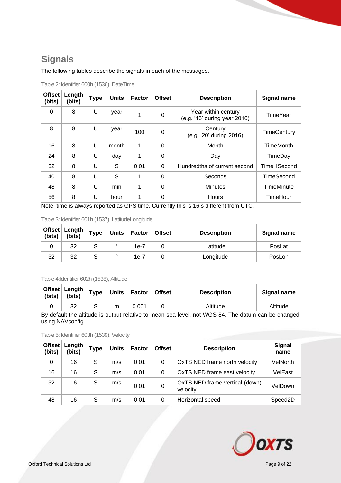### <span id="page-8-0"></span>**Signals**

The following tables describe the signals in each of the messages.

| <b>Offset</b><br>(bits) | Length<br>(bits) | <b>Type</b> | <b>Units</b> | <b>Factor</b>        | <b>Offset</b> | <b>Description</b>                                                                         | <b>Signal name</b> |
|-------------------------|------------------|-------------|--------------|----------------------|---------------|--------------------------------------------------------------------------------------------|--------------------|
| 0                       | 8                | U           | year         | 1                    | 0             | Year within century<br>(e.g. '16' during year 2016)                                        | <b>TimeYear</b>    |
| 8                       | 8                | U           | year         | 100                  | 0             | Century<br>(e.g. '20' during 2016)                                                         | <b>TimeCentury</b> |
| 16                      | 8                | U           | month        | 1                    | $\Omega$      | Month                                                                                      | <b>TimeMonth</b>   |
| 24                      | 8                | U           | day          | 1                    | 0             | Day                                                                                        | TimeDay            |
| 32                      | 8                | U           | S            | 0.01                 | 0             | Hundredths of current second                                                               | <b>TimeHSecond</b> |
| 40                      | 8                | U           | S            | 1                    | 0             | Seconds                                                                                    | <b>TimeSecond</b>  |
| 48                      | 8                | U           | min          | 1                    | 0             | <b>Minutes</b>                                                                             | <b>TimeMinute</b>  |
| 56<br>.                 | 8                | U           | hour         | $\sim$ $\sim$ $\sim$ | 0<br>$\sim$   | <b>Hours</b><br>$\mathbf{a}$ and $\mathbf{a}$ and $\mathbf{a}$<br>$\mathbf{r}$<br>$\cdots$ | TimeHour           |

<span id="page-8-1"></span>Table 2: Identifier 600h (1536), DateTime

Note: time is always reported as GPS time. Currently this is 16 s different from UTC.

<span id="page-8-2"></span>

|  |  |  |  | Table 3: Identifier 601h (1537), LatitudeLongitude |
|--|--|--|--|----------------------------------------------------|
|--|--|--|--|----------------------------------------------------|

|    | Offset Length<br>(bits) (bits) | <b>Type</b> | <b>Units</b> | Factor | <b>Offset</b> | <b>Description</b> | Signal name |
|----|--------------------------------|-------------|--------------|--------|---------------|--------------------|-------------|
| ີ  | 32                             | ১           | $\circ$      | $1e-7$ |               | ∟atitude           | PosLat      |
| 32 | 32                             | ১           | $\circ$      | 1e-7   |               | Longitude          | PosLon      |

#### <span id="page-8-3"></span>Table 4:Identifier 602h (1538), Altitude

| (bits) | Offset   Length<br>(bits)                                                                                | <b>Type</b> |   | Units   Factor | <b>Offset</b> | <b>Description</b> | Signal name |  |
|--------|----------------------------------------------------------------------------------------------------------|-------------|---|----------------|---------------|--------------------|-------------|--|
|        | 32                                                                                                       |             | m | 0.001          |               | Altitude           | Altitude    |  |
|        | De defecti ile eliterde le concentraturi de massa ses facet mei 14/00.04. The defense semi-lea alcanza d |             |   |                |               |                    |             |  |

By default the altitude is output relative to mean sea level, not WGS 84. The datum can be changed using NAVconfig.

<span id="page-8-4"></span>Table 5: Identifier 603h (1539), Velocity

| Offset<br>(bits) | Length<br>(bits) | <b>Type</b> | <b>Units</b> | Factor | <b>Offset</b> | <b>Description</b>                         | <b>Signal</b><br>name |
|------------------|------------------|-------------|--------------|--------|---------------|--------------------------------------------|-----------------------|
| 0                | 16               | S           | m/s          | 0.01   | 0             | OxTS NED frame north velocity              | <b>VelNorth</b>       |
| 16               | 16               | S           | m/s          | 0.01   | 0             | OxTS NED frame east velocity               | VelEast               |
| 32               | 16               | S           | m/s          | 0.01   | 0             | OxTS NED frame vertical (down)<br>velocity | VelDown               |
| 48               | 16               | S           | m/s          | 0.01   | 0             | Horizontal speed                           | Speed <sub>2</sub> D  |

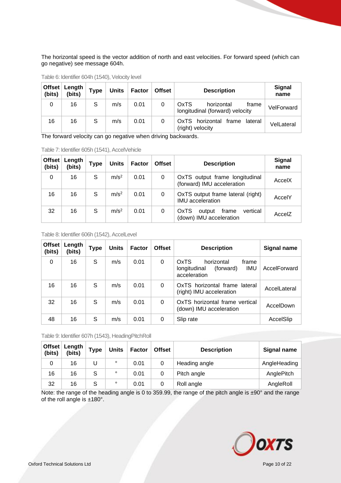The horizontal speed is the vector addition of north and east velocities. For forward speed (which can go negative) see message 604h.

| Offset<br>(bits) | Length<br>(bits) | <b>Type</b> | <b>Units</b> | Factor | <b>Offset</b> | <b>Description</b>                                             | Signal<br>name |
|------------------|------------------|-------------|--------------|--------|---------------|----------------------------------------------------------------|----------------|
| 0                | 16               | S           | m/s          | 0.01   |               | OxTS<br>horizontal<br>frame<br>longitudinal (forward) velocity | VelForward     |
| 16               | 16               | S           | m/s          | 0.01   |               | OxTS horizontal<br>frame<br>lateral<br>(right) velocity        | VelLateral     |

<span id="page-9-0"></span>Table 6: Identifier 604h (1540), Velocity level

The forward velocity can go negative when driving backwards.

<span id="page-9-1"></span>

| Table 7: Identifier 605h (1541), AccelVehicle |  |
|-----------------------------------------------|--|
|-----------------------------------------------|--|

| <b>Offset</b><br>(bits) | Length<br>(bits) | <b>Type</b> | <b>Units</b>     | <b>Factor</b> | <b>Offset</b> | <b>Description</b>                                                    | <b>Signal</b><br>name |
|-------------------------|------------------|-------------|------------------|---------------|---------------|-----------------------------------------------------------------------|-----------------------|
| 0                       | 16               | S           | m/s <sup>2</sup> | 0.01          | 0             | OxTS output frame longitudinal<br>(forward) IMU acceleration          | AccelX                |
| 16                      | 16               | S           | m/s <sup>2</sup> | 0.01          | 0             | OxTS output frame lateral (right)<br><b>IMU</b> acceleration          | AccelY                |
| 32                      | 16               | S           | m/s <sup>2</sup> | 0.01          | 0             | <b>OxTS</b><br>vertical<br>frame<br>output<br>(down) IMU acceleration | AccelZ                |

<span id="page-9-2"></span>Table 8: Identifier 606h (1542), AccelLevel

| <b>Offset</b><br>(bits) | Length<br>(bits) | <b>Type</b> | <b>Units</b> | <b>Factor</b> | <b>Offset</b> | <b>Description</b>                                                                     | Signal name  |
|-------------------------|------------------|-------------|--------------|---------------|---------------|----------------------------------------------------------------------------------------|--------------|
| $\Omega$                | 16               | S           | m/s          | 0.01          | 0             | OxTS<br>horizontal<br>frame<br><b>IMU</b><br>(forward)<br>longitudinal<br>acceleration | AccelForward |
| 16                      | 16               | S           | m/s          | 0.01          | $\Omega$      | OxTS horizontal frame lateral<br>(right) IMU acceleration                              | AccelLateral |
| 32                      | 16               | S           | m/s          | 0.01          | $\Omega$      | OxTS horizontal frame vertical<br>(down) IMU acceleration                              | AccelDown    |
| 48                      | 16               | S           | m/s          | 0.01          | 0             | Slip rate                                                                              | AccelSlip    |

<span id="page-9-3"></span>Table 9: Identifier 607h (1543), HeadingPitchRoll

| Offset $ $<br>(bits) | Length<br>(bits) | <b>Type</b> | <b>Units</b> | <b>Factor</b> | <b>Offset</b> | <b>Description</b> | Signal name  |
|----------------------|------------------|-------------|--------------|---------------|---------------|--------------------|--------------|
| 0                    | 16               |             | $\circ$      | 0.01          | 0             | Heading angle      | AngleHeading |
| 16                   | 16               | S           | $\circ$      | 0.01          | 0             | Pitch angle        | AnglePitch   |
| 32                   | 16               | S           | $\circ$      | 0.01          | 0             | Roll angle         | AngleRoll    |

Note: the range of the heading angle is 0 to 359.99, the range of the pitch angle is  $\pm 90^\circ$  and the range of the roll angle is ±180°.

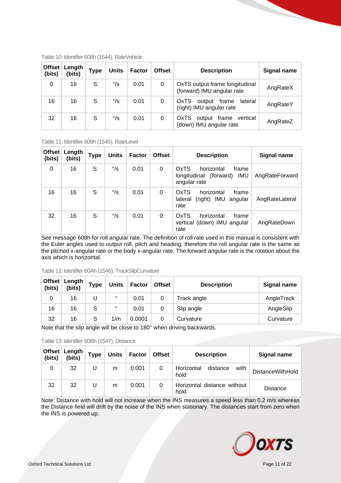| <b>Offset</b><br>(bits) | Length<br>(bits) | <b>Type</b> | <b>Units</b> | <b>Factor</b> | <b>Offset</b> | <b>Description</b>                                                    | <b>Signal name</b> |
|-------------------------|------------------|-------------|--------------|---------------|---------------|-----------------------------------------------------------------------|--------------------|
| 0                       | 16               | S           | $\degree$ /s | 0.01          | 0             | OxTS output frame longitudinal<br>(forward) IMU angular rate          | AngRateX           |
| 16                      | 16               | S           | $\degree$ /s | 0.01          | 0             | <b>OxTS</b><br>lateral<br>output<br>frame<br>(right) IMU angular rate | AngRateY           |
| 32                      | 16               | S           | $\degree$ /s | 0.01          | 0             | <b>OxTS</b><br>frame<br>vertical<br>output<br>(down) IMU angular rate | AngRateZ           |

<span id="page-10-0"></span>Table 10: Identifier 608h (1544), RateVehicle

<span id="page-10-1"></span>Table 11: Identifier 609h (1545), RateLevel

| <b>Offset</b><br>(bits) | Length<br>(bits) | <b>Type</b> | <b>Units</b> | <b>Factor</b> | <b>Offset</b> | <b>Description</b>                                                                     | Signal name    |
|-------------------------|------------------|-------------|--------------|---------------|---------------|----------------------------------------------------------------------------------------|----------------|
| 0                       | 16               | S           | $\degree$ /s | 0.01          | 0             | OxTS<br>frame<br>horizontal<br><b>IMU</b><br>(forward)<br>longitudinal<br>angular rate | AngRateForward |
| 16                      | 16               | S           | $\degree$ /s | 0.01          | 0             | OxTS<br>frame<br>horizontal<br>(right) IMU<br>lateral<br>angular<br>rate               | AngRateLateral |
| 32                      | 16               | S           | $\degree$ /s | 0.01          | 0             | OxTS<br>horizontal<br>frame<br>vertical (down) IMU angular<br>rate                     | AngRateDown    |

See message 608h for roll angular rate. The definition of roll rate used in this manual is consistent with the Euler angles used to output roll, pitch and heading; therefore the roll angular rate is the same as the pitched x-angular rate or the body x-angular rate. The forward angular rate is the rotation about the axis which is horizontal.

<span id="page-10-2"></span>

| Table 12: Identifier 60Ah (1546), TrackSlipCurvature |  |
|------------------------------------------------------|--|
|------------------------------------------------------|--|

| Offset<br>(bits) | Length<br>(bits) | <b>Type</b> | <b>Units</b> | Factor | <b>Offset</b> | <b>Description</b> | Signal name |
|------------------|------------------|-------------|--------------|--------|---------------|--------------------|-------------|
| 0                | 16               |             | $\circ$      | 0.01   |               | Track angle        | AngleTrack  |
| 16               | 16               | S           | $\circ$      | 0.01   |               | Slip angle         | AngleSlip   |
| 32               | 16               | S           | 1/m          | 0.0001 |               | Curvature          | Curvature   |

Note that the slip angle will be close to 180° when driving backwards.

| (bits) | <sub>⊦</sub> Offset ∣ Length<br>(bits) | <b>Type</b> | <b>Units</b> | <b>Factor</b> | <b>Offset</b> | <b>Description</b>                     | Signal name             |
|--------|----------------------------------------|-------------|--------------|---------------|---------------|----------------------------------------|-------------------------|
| 0      | 32                                     |             | m            | 0.001         | 0             | Horizontal<br>distance<br>with<br>hold | <b>DistanceWithHold</b> |
| 32     | 32                                     |             | m            | 0.001         | 0             | Horizontal distance without<br>hold    | <b>Distance</b>         |

<span id="page-10-3"></span>Table 13: Identifier 60Bh (1547), Distance

Note: Distance with hold will not increase when the INS measures a speed less than 0.2 m/s whereas the Distance field will drift by the noise of the INS when stationary. The distances start from zero when the INS is powered up.

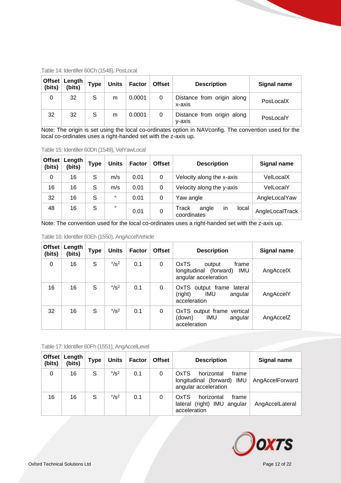| (bits) | Offset Length<br>(bits) | <b>Type</b> | <b>Units</b> | Factor | <b>Offset</b> | <b>Description</b>                   | <b>Signal name</b> |
|--------|-------------------------|-------------|--------------|--------|---------------|--------------------------------------|--------------------|
| 0      | 32                      | S           | m            | 0.0001 | 0             | Distance from origin along<br>x-axis | PosLocalX          |
| 32     | 32                      | S           | m            | 0.0001 | 0             | Distance from origin along<br>y-axis | PosLocalY          |

<span id="page-11-0"></span>Table 14: Identifier 60Ch (1548), PosLocal

Note: The origin is set using the local co-ordinates option in NAVconfig. The convention used for the local co-ordinates uses a right-handed set with the z-axis up.

<span id="page-11-1"></span>Table 15: Identifier 60Dh (1549), VelYawLocal

| <b>Offset</b><br>(bits) | Length<br>(bits) | <b>Type</b> | <b>Units</b> | Factor | <b>Offset</b> | <b>Description</b>                                  | Signal name     |
|-------------------------|------------------|-------------|--------------|--------|---------------|-----------------------------------------------------|-----------------|
| 0                       | 16               | S           | m/s          | 0.01   | 0             | Velocity along the x-axis                           | VelLocalX       |
| 16                      | 16               | S           | m/s          | 0.01   | 0             | Velocity along the y-axis                           | VelLocalY       |
| 32                      | 16               | S           | $\circ$      | 0.01   | 0             | Yaw angle                                           | AngleLocalYaw   |
| 48                      | 16               | S           | $\circ$      | 0.01   | 0             | Track<br>angle<br>local<br><i>in</i><br>coordinates | AngleLocalTrack |

Note: The convention used for the local co-ordinates uses a right-handed set with the z-axis up.

| Offset<br>(bits) | Length<br>(bits) | Type | <b>Units</b>              | Factor | <b>Offset</b> | <b>Description</b>                                                                                | Signal name |
|------------------|------------------|------|---------------------------|--------|---------------|---------------------------------------------------------------------------------------------------|-------------|
| 0                | 16               | S    | $\degree$ /s <sup>2</sup> | 0.1    | 0             | <b>OxTS</b><br>frame<br>output<br><b>IMU</b><br>(forward)<br>longitudinal<br>angular acceleration | AngAccelX   |
| 16               | 16               | S    | $\degree$ /s <sup>2</sup> | 0.1    | 0             | OxTS output frame lateral<br><b>IMU</b><br>(right)<br>angular<br>acceleration                     | AngAccelY   |
| 32               | 16               | S    | $\degree$ /s <sup>2</sup> | 0.1    | 0             | OxTS output frame vertical<br><b>IMU</b><br>(down)<br>angular<br>acceleration                     | AngAccelZ   |

<span id="page-11-2"></span>Table 16: Identifier 60Eh (1550), AngAccelVehicle

<span id="page-11-3"></span>Table 17: Identifier 60Fh (1551), AngAccelLevel

| (bits) | Offset   Length<br>(bits) | <b>Type</b> | <b>Units</b>              | <b>Factor</b> | <b>Offset</b> | <b>Description</b>                                                                | <b>Signal name</b> |
|--------|---------------------------|-------------|---------------------------|---------------|---------------|-----------------------------------------------------------------------------------|--------------------|
| 0      | 16                        | S           | $\degree$ /s <sup>2</sup> | 0.1           | 0             | OxTS<br>horizontal<br>frame<br>longitudinal (forward) IMU<br>angular acceleration | AngAccelForward    |
| 16     | 16                        | S           | $\degree$ /s <sup>2</sup> | 0.1           | 0             | OxTS<br>horizontal<br>frame<br>lateral (right) IMU angular<br>acceleration        | AngAccelLateral    |

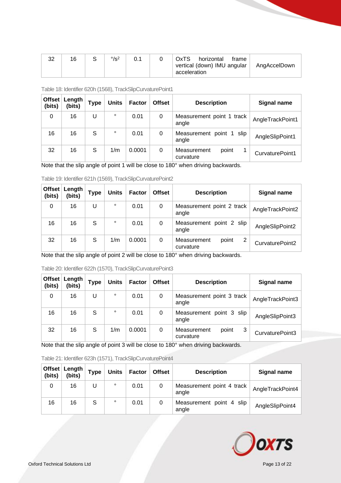| າາ<br>ےت | 16 | $\degree$ /s <sup>2</sup> |  | <b>OxTS</b><br>horizontal<br>trame<br>vertical (down) IMU angular | AngAccelDown |
|----------|----|---------------------------|--|-------------------------------------------------------------------|--------------|
|          |    |                           |  | acceleration                                                      |              |

| Offset<br>(bits) | Length<br>(bits) | <b>Type</b> | Units   | <b>Factor</b> | <b>Offset</b> | <b>Description</b>                 | Signal name      |
|------------------|------------------|-------------|---------|---------------|---------------|------------------------------------|------------------|
| 0                | 16               | U           | $\circ$ | 0.01          | 0             | Measurement point 1 track<br>angle | AngleTrackPoint1 |
| 16               | 16               | S           | $\circ$ | 0.01          | 0             | Measurement point 1 slip<br>angle  | AngleSlipPoint1  |
| 32               | 16               | S           | 1/m     | 0.0001        | 0             | Measurement<br>point<br>curvature  | CurvaturePoint1  |

<span id="page-12-0"></span>Table 18: Identifier 620h (1568), TrackSlipCurvaturePoint1

Note that the slip angle of point 1 will be close to 180° when driving backwards.

<span id="page-12-1"></span>

| Table 19: Identifier 621h (1569), TrackSlipCurvaturePoint2                                  |    |   |         |        |               |                                        |                    |  |  |  |  |
|---------------------------------------------------------------------------------------------|----|---|---------|--------|---------------|----------------------------------------|--------------------|--|--|--|--|
| <b>Offset</b><br>Length<br><b>Units</b><br><b>Type</b><br><b>Factor</b><br>(bits)<br>(bits) |    |   |         |        | <b>Offset</b> | <b>Description</b>                     | <b>Signal name</b> |  |  |  |  |
| 0                                                                                           | 16 | U | $\circ$ | 0.01   | 0             | Measurement point 2 track<br>angle     | AngleTrackPoint2   |  |  |  |  |
| 16                                                                                          | 16 | S | $\circ$ | 0.01   | 0             | Measurement point 2 slip<br>angle      | AngleSlipPoint2    |  |  |  |  |
| 32                                                                                          | 16 | S | 1/m     | 0.0001 | 0             | 2<br>Measurement<br>point<br>curvature | CurvaturePoint2    |  |  |  |  |

Note that the slip angle of point 2 will be close to 180° when driving backwards.

<span id="page-12-2"></span>Table 20: Identifier 622h (1570), TrackSlipCurvaturePoint3

| Offset<br>(bits) | Length<br>(bits) | <b>Type</b> | <b>Units</b> | <b>Factor</b> | <b>Offset</b> | <b>Description</b>                     | Signal name      |
|------------------|------------------|-------------|--------------|---------------|---------------|----------------------------------------|------------------|
| 0                | 16               | U           | $\circ$      | 0.01          | 0             | Measurement point 3 track<br>angle     | AngleTrackPoint3 |
| 16               | 16               | S           | $\circ$      | 0.01          | 0             | Measurement point 3 slip<br>angle      | AngleSlipPoint3  |
| 32               | 16               | S           | 1/m          | 0.0001        | 0             | 3<br>Measurement<br>point<br>curvature | CurvaturePoint3  |

Note that the slip angle of point 3 will be close to 180° when driving backwards.

<span id="page-12-3"></span>

| (bits) | Offset Length<br>(bits) | <b>Type</b> | <b>Units</b> | <b>Factor</b> | <b>Offset</b> | <b>Description</b>                 | Signal name      |
|--------|-------------------------|-------------|--------------|---------------|---------------|------------------------------------|------------------|
|        | 16                      | U           | $\circ$      | 0.01          | 0             | Measurement point 4 track<br>angle | AngleTrackPoint4 |
| 16     | 16                      | S           | $\circ$      | 0.01          | 0             | Measurement point 4 slip<br>angle  | AngleSlipPoint4  |

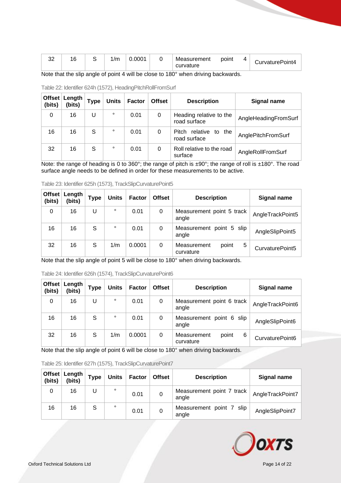| $\sim$<br>ັ | ^<br>È |  | $\sim$<br>,,,,, | $.000^{\star}$ |  | Measurement<br>curvature | point | ↵ | CurvaturePoint4 |
|-------------|--------|--|-----------------|----------------|--|--------------------------|-------|---|-----------------|
|-------------|--------|--|-----------------|----------------|--|--------------------------|-------|---|-----------------|

Note that the slip angle of point 4 will be close to 180° when driving backwards.

| Offset<br>(bits) | Length<br>(bits) | <b>Type</b> | <b>Units</b> | <b>Factor</b> | <b>Offset</b> | <b>Description</b>                          | Signal name          |
|------------------|------------------|-------------|--------------|---------------|---------------|---------------------------------------------|----------------------|
| 0                | 16               | U           | $\circ$      | 0.01          | 0             | Heading relative to the<br>road surface     | AngleHeadingFromSurf |
| 16               | 16               | S           | $\circ$      | 0.01          | 0             | relative<br>Pitch<br>to the<br>road surface | AnglePitchFromSurf   |
| 32               | 16               | S           | $\circ$      | 0.01          | 0             | Roll relative to the road<br>surface        | AngleRollFromSurf    |

<span id="page-13-0"></span>Table 22: Identifier 624h (1572), HeadingPitchRollFromSurf

Note: the range of heading is 0 to 360°; the range of pitch is ±90°; the range of roll is ±180°. The road surface angle needs to be defined in order for these measurements to be active.

| <b>Offset</b><br>(bits) | Length<br>(bits) | <b>Type</b> | <b>Units</b> | Factor | <b>Offset</b> | <b>Description</b>                     | Signal name      |
|-------------------------|------------------|-------------|--------------|--------|---------------|----------------------------------------|------------------|
| 0                       | 16               |             | $\circ$      | 0.01   | 0             | Measurement point 5 track<br>angle     | AngleTrackPoint5 |
| 16                      | 16               | S           | $\circ$      | 0.01   | 0             | Measurement point 5 slip<br>angle      | AngleSlipPoint5  |
| 32                      | 16               | S           | 1/m          | 0.0001 | 0             | 5<br>Measurement<br>point<br>curvature | CurvaturePoint5  |

<span id="page-13-1"></span>Table 23: Identifier 625h (1573), TrackSlipCurvaturePoint5

Note that the slip angle of point 5 will be close to 180° when driving backwards.

| Offset<br>(bits) | Length<br>(bits) | <b>Type</b> | <b>Units</b> | <b>Factor</b> | <b>Offset</b> | <b>Description</b>                     | <b>Signal name</b> |
|------------------|------------------|-------------|--------------|---------------|---------------|----------------------------------------|--------------------|
| 0                | 16               | U           | $\circ$      | 0.01          | 0             | Measurement point 6 track<br>angle     | AngleTrackPoint6   |
| 16               | 16               | S           | $\circ$      | 0.01          | 0             | Measurement point 6 slip<br>angle      | AngleSlipPoint6    |
| 32               | 16               | S           | 1/m          | 0.0001        | 0             | 6<br>Measurement<br>point<br>curvature | CurvaturePoint6    |

<span id="page-13-2"></span>Table 24: Identifier 626h (1574), TrackSlipCurvaturePoint6

Note that the slip angle of point 6 will be close to 180° when driving backwards.

<span id="page-13-3"></span>

| (bits) | Offset   Length  <br>(bits) | <b>Type</b> | <b>Units</b> | Factor | <b>Offset</b> | <b>Description</b>                 | Signal name      |
|--------|-----------------------------|-------------|--------------|--------|---------------|------------------------------------|------------------|
| 0      | 16                          |             | $\circ$      | 0.01   | 0             | Measurement point 7 track<br>angle | AngleTrackPoint7 |
| 16     | 16                          | S           | $\circ$      | 0.01   | 0             | Measurement point 7 slip<br>angle  | AngleSlipPoint7  |

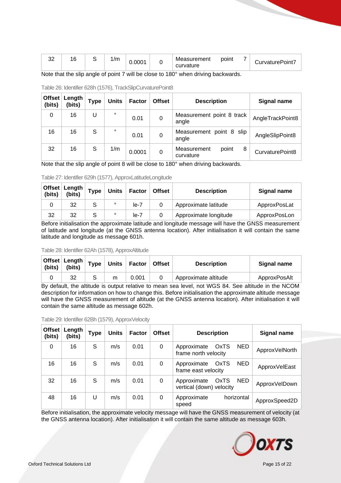| $\sim$<br>ັ                                      | $\epsilon$<br>ັ                         |                                        | 1/m                                        | 0.0001                  | Measurement<br>curvature | point                                                                       | CurvaturePoint7 |
|--------------------------------------------------|-----------------------------------------|----------------------------------------|--------------------------------------------|-------------------------|--------------------------|-----------------------------------------------------------------------------|-----------------|
| ____<br>the contract of the contract of the con- | ____<br>the contract of the contract of | the company's company's company's com- | _____<br>the company's company's company's | the control of the con- |                          | the contract of the contract of the con-<br>the contract of the contract of |                 |

Note that the slip angle of point 7 will be close to 180° when driving backwards.

| Offset<br>(bits) | Length<br>(bits) | Type | <b>Units</b> | Factor | <b>Offset</b> | <b>Description</b>                     | Signal name      |
|------------------|------------------|------|--------------|--------|---------------|----------------------------------------|------------------|
| 0                | 16               | U    | $\circ$      | 0.01   | 0             | Measurement point 8 track<br>angle     | AngleTrackPoint8 |
| 16               | 16               | S    | $\circ$      | 0.01   | 0             | Measurement point 8 slip<br>angle      | AngleSlipPoint8  |
| 32               | 16               | S    | 1/m          | 0.0001 | 0             | 8<br>Measurement<br>point<br>curvature | CurvaturePoint8  |

<span id="page-14-0"></span>Table 26: Identifier 628h (1576), TrackSlipCurvaturePoint8

Note that the slip angle of point 8 will be close to 180° when driving backwards.

<span id="page-14-1"></span>

| Table 27: Identifier 629h (1577), ApproxLatitudeLongitude |  |
|-----------------------------------------------------------|--|
|                                                           |  |

| (bits) | ∣ Offset ∣ Length<br>(bits) | <b>Type</b> | <b>Units</b> | Factor | <b>Offset</b> | <b>Description</b>    | Signal name  |
|--------|-----------------------------|-------------|--------------|--------|---------------|-----------------------|--------------|
|        | 32                          | S           | $\circ$      | $le-7$ |               | Approximate latitude  | ApproxPosLat |
| 32     | 32                          | S           | $\circ$      | $le-7$ |               | Approximate longitude | ApproxPosLon |

Before initialisation the approximate latitude and longitude message will have the GNSS measurement of latitude and longitude (at the GNSS antenna location). After initialisation it will contain the same latitude and longitude as message 601h.

#### <span id="page-14-2"></span>Table 28: Identifier 62Ah (1578), ApproxAltitude

| (bits) | Offset Length<br>(bits) | <b>Type</b> |   | Units   Factor   Offset | <b>Description</b>   | Signal name  |
|--------|-------------------------|-------------|---|-------------------------|----------------------|--------------|
|        | 32                      |             | m | 0.001                   | Approximate altitude | ApproxPosAlt |

By default, the altitude is output relative to mean sea level, not WGS 84. See altitude in the NCOM description for information on how to change this. Before initialisation the approximate altitude message will have the GNSS measurement of altitude (at the GNSS antenna location). After initialisation it will contain the same altitude as message 602h.

<span id="page-14-3"></span>

| Table 29: Identifier 62Bh (1579), ApproxVelocity |  |
|--------------------------------------------------|--|
|--------------------------------------------------|--|

| <b>Offset</b><br>(bits) | Length<br>(bits) | <b>Type</b> | <b>Units</b> | <b>Factor</b> | <b>Offset</b> | <b>Description</b>                                              | <b>Signal name</b> |
|-------------------------|------------------|-------------|--------------|---------------|---------------|-----------------------------------------------------------------|--------------------|
| 0                       | 16               | S           | m/s          | 0.01          | 0             | <b>OxTS</b><br>NED.<br>Approximate<br>frame north velocity      | ApproxVelNorth     |
| 16                      | 16               | S           | m/s          | 0.01          | 0             | <b>NED</b><br><b>OxTS</b><br>Approximate<br>frame east velocity | ApproxVelEast      |
| 32                      | 16               | S           | m/s          | 0.01          | $\Omega$      | Approximate<br>NED<br><b>OxTS</b><br>vertical (down) velocity   | ApproxVelDown      |
| 48                      | 16               | U           | m/s          | 0.01          | 0             | horizontal<br>Approximate<br>speed                              | ApproxSpeed2D      |

Before initialisation, the approximate velocity message will have the GNSS measurement of velocity (at the GNSS antenna location). After initialisation it will contain the same altitude as message 603h.

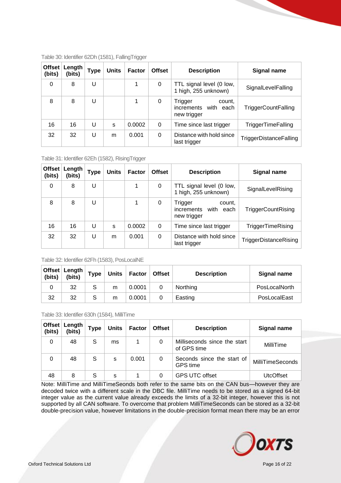| Offset<br>(bits) | Length<br>(bits) | Type | <b>Units</b> | <b>Factor</b> | <b>Offset</b> | <b>Description</b>                                       | Signal name                   |
|------------------|------------------|------|--------------|---------------|---------------|----------------------------------------------------------|-------------------------------|
| 0                | 8                | U    |              |               | 0             | TTL signal level (0 low,<br>1 high, 255 unknown)         | SignalLevelFalling            |
| 8                | 8                | U    |              |               | 0             | Trigger<br>count.<br>increments with each<br>new trigger | TriggerCountFalling           |
| 16               | 16               | U    | S            | 0.0002        | 0             | Time since last trigger                                  | <b>TriggerTimeFalling</b>     |
| 32               | 32               | U    | m            | 0.001         | 0             | Distance with hold since<br>last trigger                 | <b>TriggerDistanceFalling</b> |

#### <span id="page-15-0"></span>Table 30: Identifier 62Dh (1581), FallingTrigger

<span id="page-15-1"></span>Table 31: Identifier 62Eh (1582), RisingTrigger

| <b>Offset</b><br>(bits) | Length<br>(bits) | Type | <b>Units</b> | <b>Factor</b> | <b>Offset</b> | <b>Description</b>                                             | Signal name               |
|-------------------------|------------------|------|--------------|---------------|---------------|----------------------------------------------------------------|---------------------------|
| 0                       | 8                | U    |              |               | 0             | TTL signal level (0 low,<br>1 high, 255 unknown)               | SignalLevelRising         |
| 8                       | 8                | U    |              |               | 0             | Trigger<br>count,<br>with<br>increments<br>each<br>new trigger | <b>TriggerCountRising</b> |
| 16                      | 16               | U    | S            | 0.0002        | 0             | Time since last trigger                                        | <b>TriggerTimeRising</b>  |
| 32                      | 32               | U    | m            | 0.001         | 0             | Distance with hold since<br>last trigger                       | TriggerDistanceRising     |

#### <span id="page-15-2"></span>Table 32: Identifier 62Fh (1583), PosLocalNE

| (bits) | Offset Length<br>(bits) | <b>Type</b> | Units $ $ | Factor | Offset | <b>Description</b> | Signal name   |
|--------|-------------------------|-------------|-----------|--------|--------|--------------------|---------------|
|        | 32                      | S           | m         | 0.0001 |        | Northing           | PosLocalNorth |
| 32     | 32                      | S           | m         | 0.0001 |        | Easting            | PosLocalEast  |

#### <span id="page-15-3"></span>Table 33: Identifier 630h (1584), MilliTime

| (bits) | Offset   Length<br>(bits) | <b>Type</b> | <b>Units</b> | <b>Factor</b> | <b>Offset</b> | <b>Description</b>                            | Signal name      |
|--------|---------------------------|-------------|--------------|---------------|---------------|-----------------------------------------------|------------------|
| 0      | 48                        | S           | ms           |               | 0             | Milliseconds since the start<br>of GPS time   | MilliTime        |
| 0      | 48                        | S           | s            | 0.001         | 0             | Seconds since the start of<br><b>GPS</b> time | MilliTimeSeconds |
| 48     | 8                         | S           | s            |               | 0             | <b>GPS UTC offset</b>                         | <b>UtcOffset</b> |

Note: MilliTime and MilliTimeSeonds both refer to the same bits on the CAN bus—however they are decoded twice with a different scale in the DBC file. MilliTime needs to be stored as a signed 64-bit integer value as the current value already exceeds the limits of a 32-bit integer, however this is not supported by all CAN software. To overcome that problem MilliTimeSeconds can be stored as a 32-bit double-precision value, however limitations in the double-precision format mean there may be an error

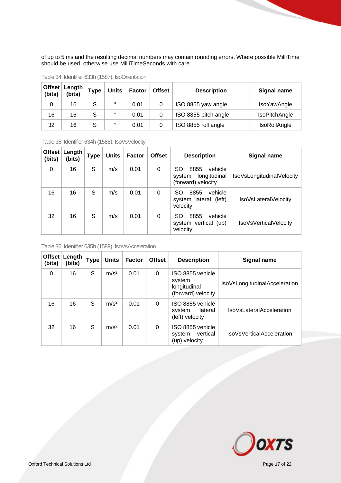of up to 5 ms and the resulting decimal numbers may contain rounding errors. Where possible MilliTime should be used, otherwise use MilliTimeSeconds with care.

| Offset<br>(bits) | Length<br>(bits) | <b>Type</b> | <b>Units</b> | <b>Factor</b> | <b>Offset</b> | <b>Description</b>   | <b>Signal name</b>   |
|------------------|------------------|-------------|--------------|---------------|---------------|----------------------|----------------------|
| 0                | 16               | S           | $\circ$      | 0.01          | 0             | ISO 8855 yaw angle   | IsoYawAngle          |
| 16               | 16               | S           | $\circ$      | 0.01          | 0             | ISO 8855 pitch angle | <b>IsoPitchAngle</b> |
| 32               | 16               | S           | $\circ$      | 0.01          | 0             | ISO 8855 roll angle  | IsoRollAngle         |

<span id="page-16-0"></span>Table 34: Identifier 633h (1587), IsoOrientation

<span id="page-16-1"></span>Table 35: Identifier 634h (1588), IsoVsVelocity

| Offset<br>(bits) | Length<br>(bits) | Type | <b>Units</b> | <b>Factor</b> | <b>Offset</b> | <b>Description</b>                                                            | Signal name                  |
|------------------|------------------|------|--------------|---------------|---------------|-------------------------------------------------------------------------------|------------------------------|
| 0                | 16               | S    | m/s          | 0.01          | $\Omega$      | <b>ISO</b><br>8855<br>vehicle<br>longitudinal<br>system<br>(forward) velocity | IsoVsLongitudinalVelocity    |
| 16               | 16               | S    | m/s          | 0.01          | $\Omega$      | ISO.<br>8855<br>vehicle<br>system lateral (left)<br>velocity                  | IsoVsLateralVelocity         |
| 32               | 16               | S    | m/s          | 0.01          | 0             | 8855<br>vehicle<br><b>ISO</b><br>system vertical (up)<br>velocity             | <b>IsoVsVerticalVelocity</b> |

<span id="page-16-2"></span>Table 36: Identifier 635h (1589), IsoVsAcceleration

| Offset<br>(bits) | Length<br>(bits) | <b>Type</b> | <b>Units</b>     | <b>Factor</b> | <b>Offset</b> | <b>Description</b>                                               | <b>Signal name</b>            |
|------------------|------------------|-------------|------------------|---------------|---------------|------------------------------------------------------------------|-------------------------------|
| 0                | 16               | S           | m/s <sup>2</sup> | 0.01          | $\Omega$      | ISO 8855 vehicle<br>system<br>longitudinal<br>(forward) velocity | IsoVsLongitudinalAcceleration |
| 16               | 16               | S           | m/s <sup>2</sup> | 0.01          | 0             | ISO 8855 vehicle<br>lateral<br>system<br>(left) velocity         | IsoVsLateralAcceleration      |
| 32               | 16               | S           | m/s <sup>2</sup> | 0.01          | 0             | ISO 8855 vehicle<br>vertical<br>system<br>(up) velocity          | IsoVsVerticalAcceleration     |

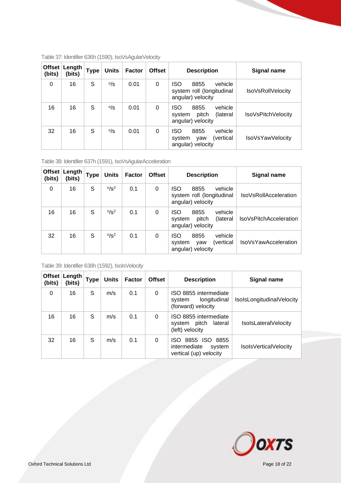| Offset<br>(bits) | Length<br>(bits) | Type | <b>Units</b>      | <b>Factor</b> | <b>Offset</b> | <b>Description</b>                                                                | <b>Signal name</b>       |
|------------------|------------------|------|-------------------|---------------|---------------|-----------------------------------------------------------------------------------|--------------------------|
| 0                | 16               | S    | $\frac{\circ}{s}$ | 0.01          | 0             | <b>ISO</b><br>8855<br>vehicle<br>system roll (longitudinal<br>angular) velocity   | <b>IsoVsRoIIVelocity</b> |
| 16               | 16               | S    | $\frac{\circ}{s}$ | 0.01          | $\Omega$      | vehicle<br><b>ISO</b><br>8855<br>(lateral<br>pitch<br>system<br>angular) velocity | IsoVsPitchVelocity       |
| 32               | 16               | S    | $\frac{\circ}{s}$ | 0.01          | $\Omega$      | <b>ISO</b><br>vehicle<br>8855<br>(vertical<br>system<br>vaw<br>angular) velocity  | IsoVsYawVelocity         |

<span id="page-17-0"></span>Table 37: Identifier 636h (1590), IsoVsAgularVelocity

<span id="page-17-1"></span>Table 38: Identifier 637h (1591), IsoVsAgularAcceleration

| Offset<br>(bits) | Length<br>(bits) | <b>Type</b> | <b>Units</b>  | <b>Factor</b> | <b>Offset</b> | <b>Description</b>                                                         | <b>Signal name</b>           |
|------------------|------------------|-------------|---------------|---------------|---------------|----------------------------------------------------------------------------|------------------------------|
| 0                | 16               | S           | $\frac{6}{5}$ | 0.1           | 0             | ISO<br>8855<br>vehicle<br>system roll (longitudinal<br>angular) velocity   | <b>IsoVsRollAcceleration</b> |
| 16               | 16               | S           | $0/s^2$       | 0.1           | 0             | vehicle<br>ISO<br>8855<br>(lateral<br>pitch<br>system<br>angular) velocity | IsoVsPitchAcceleration       |
| 32               | 16               | S           | $0/s^2$       | 0.1           | 0             | vehicle<br>ISO<br>8855<br>(vertical<br>system<br>vaw<br>angular) velocity  | <b>IsoVsYawAcceleration</b>  |

<span id="page-17-2"></span>Table 39: Identifier 638h (1592), IsoIsVelocity

| Offset<br>(bits) | Length<br>(bits) | <b>Type</b> | <b>Units</b> | <b>Factor</b> | <b>Offset</b> | <b>Description</b>                                                           | <b>Signal name</b>        |
|------------------|------------------|-------------|--------------|---------------|---------------|------------------------------------------------------------------------------|---------------------------|
| $\Omega$         | 16               | S           | m/s          | 0.1           | 0             | ISO 8855 intermediate<br>longitudinal<br>system<br>(forward) velocity        | IsolsLongitudinalVelocity |
| 16               | 16               | S           | m/s          | 0.1           | $\Omega$      | ISO 8855 intermediate<br>pitch<br>lateral<br>system<br>(left) velocity       | IsolsLateralVelocity      |
| 32               | 16               | S           | m/s          | 0.1           | $\Omega$      | 8855 ISO<br>8855<br>ISO.<br>intermediate<br>system<br>vertical (up) velocity | Isols Vertical Velocity   |

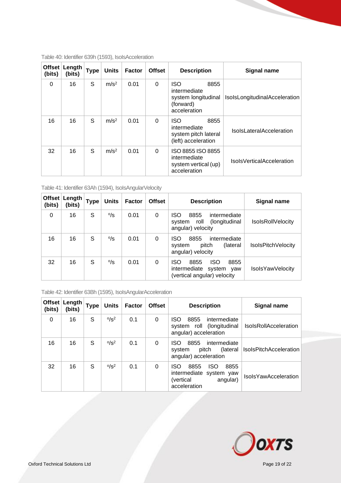| Offset<br>(bits) | Length<br>(bits) | <b>Type</b> | <b>Units</b>     | <b>Factor</b> | <b>Offset</b> | <b>Description</b>                                                                     | <b>Signal name</b>               |
|------------------|------------------|-------------|------------------|---------------|---------------|----------------------------------------------------------------------------------------|----------------------------------|
| $\Omega$         | 16               | S           | m/s <sup>2</sup> | 0.01          | $\Omega$      | <b>ISO</b><br>8855<br>intermediate<br>system longitudinal<br>(forward)<br>acceleration | IsolsLongitudinalAcceleration    |
| 16               | 16               | S           | m/s <sup>2</sup> | 0.01          | $\Omega$      | <b>ISO</b><br>8855<br>intermediate<br>system pitch lateral<br>(left) acceleration      | <b>IsolsLateralAcceleration</b>  |
| 32               | 16               | S           | m/s <sup>2</sup> | 0.01          | $\Omega$      | ISO 8855 ISO 8855<br>intermediate<br>system vertical (up)<br>acceleration              | <b>IsolsVerticalAcceleration</b> |

<span id="page-18-0"></span>Table 40: Identifier 639h (1593), IsoIsAcceleration

<span id="page-18-1"></span>

| Table 41: Identifier 63Ah (1594), IsolsAngularVelocity |  |  |
|--------------------------------------------------------|--|--|
|                                                        |  |  |

| Offset<br>(bits) | Length<br>(bits) | Type | <b>Units</b>      | <b>Factor</b> | <b>Offset</b> | <b>Description</b>                                                                                    | Signal name              |
|------------------|------------------|------|-------------------|---------------|---------------|-------------------------------------------------------------------------------------------------------|--------------------------|
| 0                | 16               | S    | $\frac{\circ}{s}$ | 0.01          | 0             | <b>ISO</b><br>8855<br>intermediate<br>roll<br>(longitudinal)<br>svstem<br>angular) velocity           | <b>IsolsRollVelocity</b> |
| 16               | 16               | S    | $\frac{\circ}{s}$ | 0.01          | 0             | <b>ISO</b><br>8855<br>intermediate<br>(lateral)<br>pitch<br>system<br>angular) velocity               | IsolsPitchVelocity       |
| 32               | 16               | S    | $\frac{\circ}{s}$ | 0.01          | 0             | <b>ISO</b><br><b>ISO</b><br>8855<br>8855<br>intermediate<br>system yaw<br>(vertical angular) velocity | IsolsYawVelocity         |

<span id="page-18-2"></span>Table 42: Identifier 63Bh (1595), IsoIsAngularAcceleration

| (bits)   | Offset Length<br>(bits) | <b>Type</b> | <b>Units</b>           | <b>Factor</b> | <b>Offset</b> | <b>Description</b>                                                                                     | <b>Signal name</b>            |
|----------|-------------------------|-------------|------------------------|---------------|---------------|--------------------------------------------------------------------------------------------------------|-------------------------------|
| $\Omega$ | 16                      | S           | $\frac{0}{\text{S}^2}$ | 0.1           | 0             | ISO<br>8855<br>intermediate<br>(longitudinal)<br>system roll<br>angular) acceleration                  | <b>IsolsRollAcceleration</b>  |
| 16       | 16                      | S           | $^{0}/s^2$             | 0.1           | 0             | ISO.<br>8855<br>intermediate<br>(lateral)<br>pitch<br>system<br>angular) acceleration                  | <b>IsolsPitchAcceleration</b> |
| 32       | 16                      | S           | $^{0}/s^2$             | 0.1           | 0             | <b>ISO</b><br>8855<br>ISO.<br>8855<br>intermediate system yaw<br>(vertical<br>angular)<br>acceleration | <b>IsolsYawAcceleration</b>   |

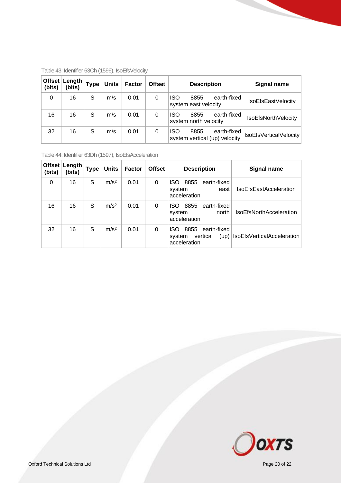| Offset $ $<br>(bits) | Length<br>(bits) | <b>Type</b> | <b>Units</b> | <b>Factor</b> | <b>Offset</b> | <b>Description</b>                                                 | Signal name            |
|----------------------|------------------|-------------|--------------|---------------|---------------|--------------------------------------------------------------------|------------------------|
| 0                    | 16               | S           | m/s          | 0.01          | 0             | <b>ISO</b><br>8855<br>earth-fixed<br>system east velocity          | IsoEfsEastVelocity     |
| 16                   | 16               | S           | m/s          | 0.01          | 0             | <b>ISO</b><br>8855<br>earth-fixed<br>system north velocity         | IsoEfsNorthVelocity    |
| 32                   | 16               | S           | m/s          | 0.01          | 0             | <b>ISO</b><br>8855<br>earth-fixed<br>system vertical (up) velocity | IsoEfsVerticalVelocity |

<span id="page-19-0"></span>Table 43: Identifier 63Ch (1596), IsoEfsVelocity

<span id="page-19-1"></span>Table 44: Identifier 63Dh (1597), IsoEfsAcceleration

| Offset $ $<br>(bits) | Length<br>(bits) | Type | <b>Units</b>     | <b>Factor</b> | <b>Offset</b> | <b>Description</b>                                                        | <b>Signal name</b>             |
|----------------------|------------------|------|------------------|---------------|---------------|---------------------------------------------------------------------------|--------------------------------|
| $\Omega$             | 16               | S    | m/s <sup>2</sup> | 0.01          | 0             | 8855<br>ISO.<br>earth-fixed<br>system<br>east<br>acceleration             | <b>IsoEfsEastAcceleration</b>  |
| 16                   | 16               | S    | m/s <sup>2</sup> | 0.01          | 0             | 8855<br>earth-fixed<br>ISO.<br>north<br>system<br>acceleration            | <b>IsoEfsNorthAcceleration</b> |
| 32                   | 16               | S    | m/s <sup>2</sup> | 0.01          | 0             | 8855<br>earth-fixed<br>ISO.<br>vertical<br>(up)<br>system<br>acceleration | IsoEfsVerticalAcceleration     |

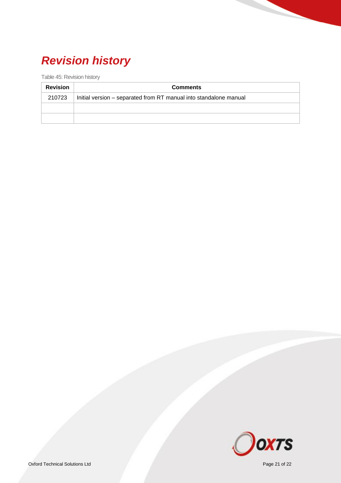## <span id="page-20-0"></span>*Revision history*

<span id="page-20-1"></span>Table 45: Revision history

| <b>Revision</b> | <b>Comments</b>                                                   |  |  |  |  |  |
|-----------------|-------------------------------------------------------------------|--|--|--|--|--|
| 210723          | Initial version – separated from RT manual into standalone manual |  |  |  |  |  |
|                 |                                                                   |  |  |  |  |  |
|                 |                                                                   |  |  |  |  |  |